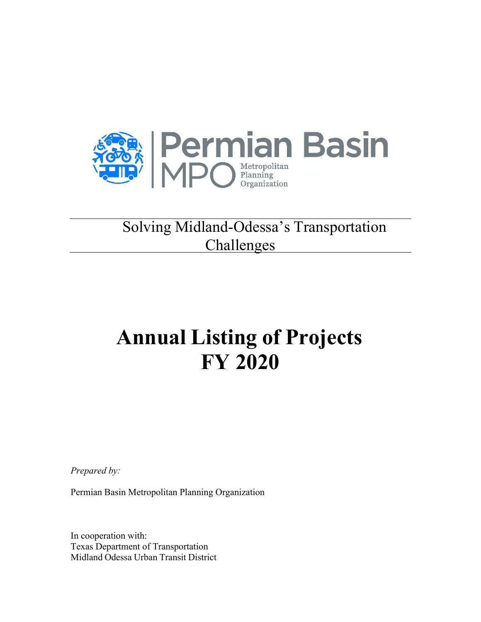

#### Solving Midland-Odessa's Transportation **Challenges**

# **Annual Listing of Projects FY 2020**

*Prepared by:*

Permian Basin Metropolitan Planning Organization

In cooperation with: Texas Department of Transportation Midland Odessa Urban Transit District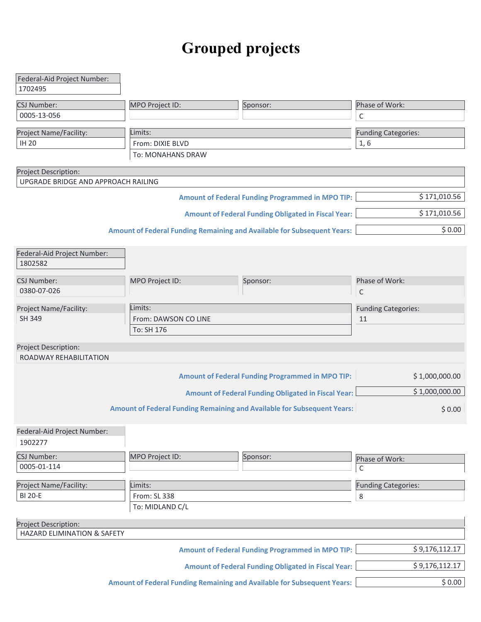## **Grouped projects**

| Federal-Aid Project Number:         |                      |                                                                                |                                |
|-------------------------------------|----------------------|--------------------------------------------------------------------------------|--------------------------------|
| 1702495                             |                      |                                                                                |                                |
| CSJ Number:                         | MPO Project ID:      | Sponsor:                                                                       | Phase of Work:                 |
| 0005-13-056                         |                      |                                                                                | C                              |
|                                     |                      |                                                                                |                                |
| Project Name/Facility:              | Limits:              |                                                                                | <b>Funding Categories:</b>     |
| <b>IH 20</b>                        | From: DIXIE BLVD     |                                                                                | 1, 6                           |
|                                     | To: MONAHANS DRAW    |                                                                                |                                |
| Project Description:                |                      |                                                                                |                                |
| UPGRADE BRIDGE AND APPROACH RAILING |                      |                                                                                |                                |
|                                     |                      | <b>Amount of Federal Funding Programmed in MPO TIP:</b>                        | \$171,010.56                   |
|                                     |                      | <b>Amount of Federal Funding Obligated in Fiscal Year:</b>                     | \$171,010.56                   |
|                                     |                      | <b>Amount of Federal Funding Remaining and Available for Subsequent Years:</b> | \$0.00                         |
|                                     |                      |                                                                                |                                |
| Federal-Aid Project Number:         |                      |                                                                                |                                |
| 1802582                             |                      |                                                                                |                                |
|                                     |                      |                                                                                |                                |
| <b>CSJ Number:</b><br>0380-07-026   | MPO Project ID:      | Sponsor:                                                                       | Phase of Work:<br>$\mathsf{C}$ |
|                                     |                      |                                                                                |                                |
| Project Name/Facility:              | Limits:              |                                                                                | <b>Funding Categories:</b>     |
| <b>SH 349</b>                       | From: DAWSON CO LINE |                                                                                | 11                             |
|                                     | To: SH 176           |                                                                                |                                |
| Project Description:                |                      |                                                                                |                                |
| ROADWAY REHABILITATION              |                      |                                                                                |                                |
|                                     |                      |                                                                                |                                |
|                                     |                      | <b>Amount of Federal Funding Programmed in MPO TIP:</b>                        | \$1,000,000.00                 |
|                                     |                      | <b>Amount of Federal Funding Obligated in Fiscal Year:</b>                     | \$1,000,000.00                 |
|                                     |                      |                                                                                |                                |
|                                     |                      | <b>Amount of Federal Funding Remaining and Available for Subsequent Years:</b> | \$0.00                         |
| Federal-Aid Project Number:         |                      |                                                                                |                                |
| 1902277                             |                      |                                                                                |                                |
|                                     |                      |                                                                                |                                |
| CSJ Number:<br>0005-01-114          | MPO Project ID:      | Sponsor:                                                                       | Phase of Work:                 |
|                                     |                      |                                                                                | C                              |
| Project Name/Facility:              | Limits:              |                                                                                | <b>Funding Categories:</b>     |
| <b>BI 20-E</b>                      | From: SL 338         |                                                                                | 8                              |
|                                     | To: MIDLAND C/L      |                                                                                |                                |
| <b>Project Description:</b>         |                      |                                                                                |                                |
| HAZARD ELIMINATION & SAFETY         |                      |                                                                                |                                |
|                                     |                      |                                                                                |                                |
|                                     |                      | <b>Amount of Federal Funding Programmed in MPO TIP:</b>                        | \$9,176,112.17                 |
|                                     |                      | <b>Amount of Federal Funding Obligated in Fiscal Year:</b>                     | \$9,176,112.17                 |
|                                     |                      | Amount of Federal Funding Remaining and Available for Subsequent Years:        | \$0.00                         |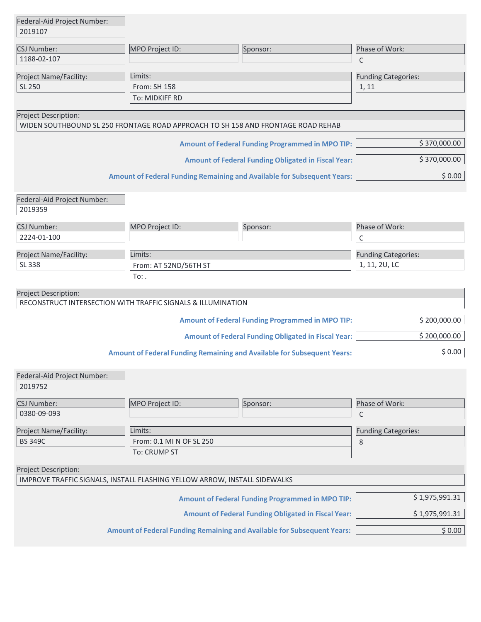| Federal-Aid Project Number:                                               |                               |                                                                                  |                                             |
|---------------------------------------------------------------------------|-------------------------------|----------------------------------------------------------------------------------|---------------------------------------------|
| 2019107                                                                   |                               |                                                                                  |                                             |
| CSJ Number:                                                               | MPO Project ID:               | Sponsor:                                                                         | Phase of Work:                              |
| 1188-02-107                                                               |                               |                                                                                  | $\mathsf{C}$                                |
| Project Name/Facility:                                                    | Limits:                       |                                                                                  | <b>Funding Categories:</b>                  |
| SL 250                                                                    | From: SH 158                  |                                                                                  | 1, 11                                       |
|                                                                           | To: MIDKIFF RD                |                                                                                  |                                             |
| Project Description:                                                      |                               |                                                                                  |                                             |
|                                                                           |                               | WIDEN SOUTHBOUND SL 250 FRONTAGE ROAD APPROACH TO SH 158 AND FRONTAGE ROAD REHAB |                                             |
|                                                                           |                               | <b>Amount of Federal Funding Programmed in MPO TIP:</b>                          | \$370,000.00                                |
|                                                                           |                               | <b>Amount of Federal Funding Obligated in Fiscal Year:</b>                       | \$370,000.00                                |
|                                                                           |                               | <b>Amount of Federal Funding Remaining and Available for Subsequent Years:</b>   | \$0.00                                      |
|                                                                           |                               |                                                                                  |                                             |
| Federal-Aid Project Number:<br>2019359                                    |                               |                                                                                  |                                             |
| <b>CSJ Number:</b>                                                        | MPO Project ID:               | Sponsor:                                                                         | Phase of Work:                              |
| 2224-01-100                                                               |                               |                                                                                  | C                                           |
|                                                                           |                               |                                                                                  |                                             |
| Project Name/Facility:<br>SL 338                                          | Limits:                       |                                                                                  | <b>Funding Categories:</b><br>1, 11, 2U, LC |
|                                                                           | From: AT 52ND/56TH ST<br>To:. |                                                                                  |                                             |
| Project Description:                                                      |                               |                                                                                  |                                             |
| RECONSTRUCT INTERSECTION WITH TRAFFIC SIGNALS & ILLUMINATION              |                               |                                                                                  |                                             |
|                                                                           |                               | <b>Amount of Federal Funding Programmed in MPO TIP:</b>                          | \$200,000.00                                |
|                                                                           |                               | <b>Amount of Federal Funding Obligated in Fiscal Year:</b>                       | \$200,000.00                                |
|                                                                           |                               | <b>Amount of Federal Funding Remaining and Available for Subsequent Years:</b>   | \$0.00                                      |
|                                                                           |                               |                                                                                  |                                             |
| Federal-Aid Project Number:<br>2019752                                    |                               |                                                                                  |                                             |
| CSJ Number:                                                               | MPO Project ID:               | Sponsor:                                                                         | Phase of Work:                              |
| 0380-09-093                                                               |                               |                                                                                  | C                                           |
| Project Name/Facility:                                                    | Limits:                       |                                                                                  | <b>Funding Categories:</b>                  |
| <b>BS 349C</b>                                                            | From: 0.1 MI N OF SL 250      |                                                                                  | 8                                           |
|                                                                           | To: CRUMP ST                  |                                                                                  |                                             |
| Project Description:                                                      |                               |                                                                                  |                                             |
| IMPROVE TRAFFIC SIGNALS, INSTALL FLASHING YELLOW ARROW, INSTALL SIDEWALKS |                               |                                                                                  |                                             |
|                                                                           |                               |                                                                                  | \$1,975,991.31                              |
|                                                                           |                               | <b>Amount of Federal Funding Programmed in MPO TIP:</b>                          |                                             |
|                                                                           |                               | <b>Amount of Federal Funding Obligated in Fiscal Year:</b>                       | \$1,975,991.31                              |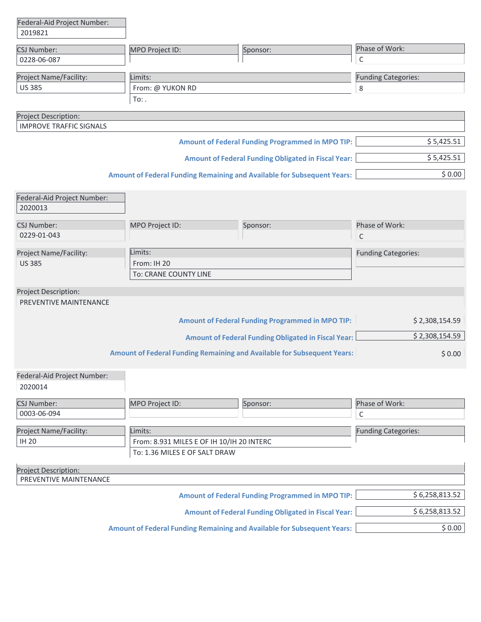| Phase of Work:<br>CSJ Number:<br>MPO Project ID:<br>Sponsor:                       |                |
|------------------------------------------------------------------------------------|----------------|
|                                                                                    |                |
| C<br>0228-06-087                                                                   |                |
| Limits:<br>Project Name/Facility:<br><b>Funding Categories:</b>                    |                |
| <b>US 385</b><br>From: @ YUKON RD<br>8                                             |                |
| $To:$ .                                                                            |                |
| Project Description:                                                               |                |
| <b>IMPROVE TRAFFIC SIGNALS</b>                                                     |                |
| <b>Amount of Federal Funding Programmed in MPO TIP:</b>                            | \$5,425.51     |
| <b>Amount of Federal Funding Obligated in Fiscal Year:</b>                         | \$5,425.51     |
| <b>Amount of Federal Funding Remaining and Available for Subsequent Years:</b>     | \$0.00         |
| Federal-Aid Project Number:                                                        |                |
| 2020013                                                                            |                |
|                                                                                    |                |
| MPO Project ID:<br>Phase of Work:<br><b>CSJ Number:</b><br>Sponsor:<br>0229-01-043 |                |
| $\mathsf C$                                                                        |                |
| Limits:<br>Project Name/Facility:<br><b>Funding Categories:</b>                    |                |
| <b>US385</b><br>From: IH 20                                                        |                |
| To: CRANE COUNTY LINE                                                              |                |
| Project Description:                                                               |                |
| PREVENTIVE MAINTENANCE                                                             |                |
| <b>Amount of Federal Funding Programmed in MPO TIP:</b>                            | \$2,308,154.59 |
| <b>Amount of Federal Funding Obligated in Fiscal Year:</b>                         | \$2,308,154.59 |
| <b>Amount of Federal Funding Remaining and Available for Subsequent Years:</b>     | \$0.00         |
| Federal-Aid Project Number:<br>2020014                                             |                |
| CSJ Number:<br>MPO Project ID:<br>Phase of Work:<br>Sponsor:                       |                |
| 0003-06-094<br>C                                                                   |                |
| Project Name/Facility:<br>Limits:<br><b>Funding Categories:</b>                    |                |
| <b>IH 20</b><br>From: 8.931 MILES E OF IH 10/IH 20 INTERC                          |                |
| To: 1.36 MILES E OF SALT DRAW                                                      |                |
| Project Description:                                                               |                |
| PREVENTIVE MAINTENANCE                                                             |                |
| <b>Amount of Federal Funding Programmed in MPO TIP:</b>                            | \$6,258,813.52 |
| <b>Amount of Federal Funding Obligated in Fiscal Year:</b>                         | \$6,258,813.52 |

**Amount of Federal Funding Remaining and Available for Subsequent Years:** \$ 0.00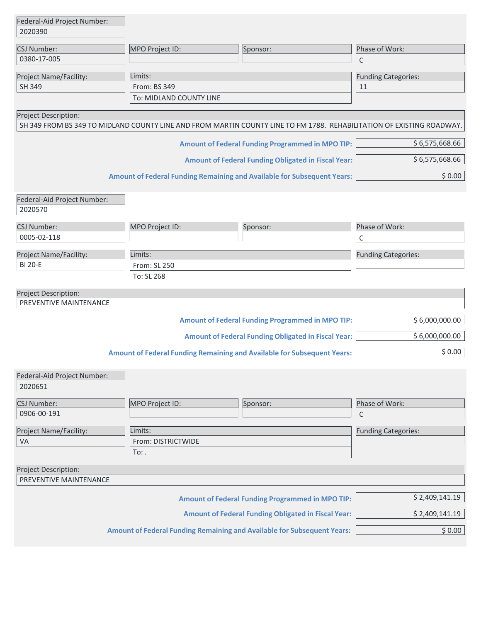| Federal-Aid Project Number:<br>2020390         |                         |                                                                                                                       |                            |
|------------------------------------------------|-------------------------|-----------------------------------------------------------------------------------------------------------------------|----------------------------|
|                                                |                         |                                                                                                                       |                            |
| CSJ Number:<br>0380-17-005                     | MPO Project ID:         | Sponsor:                                                                                                              | Phase of Work:             |
|                                                |                         |                                                                                                                       | C                          |
| Project Name/Facility:                         | Limits:                 |                                                                                                                       | <b>Funding Categories:</b> |
| <b>SH 349</b>                                  | From: BS 349            |                                                                                                                       | 11                         |
|                                                | To: MIDLAND COUNTY LINE |                                                                                                                       |                            |
| Project Description:                           |                         |                                                                                                                       |                            |
|                                                |                         | SH 349 FROM BS 349 TO MIDLAND COUNTY LINE AND FROM MARTIN COUNTY LINE TO FM 1788. REHABILITATION OF EXISTING ROADWAY. |                            |
|                                                |                         | <b>Amount of Federal Funding Programmed in MPO TIP:</b>                                                               | \$6,575,668.66             |
|                                                |                         | <b>Amount of Federal Funding Obligated in Fiscal Year:</b>                                                            | \$6,575,668.66             |
|                                                |                         | <b>Amount of Federal Funding Remaining and Available for Subsequent Years:</b>                                        | \$0.00                     |
| Federal-Aid Project Number:<br>2020570         |                         |                                                                                                                       |                            |
| <b>CSJ Number:</b>                             | MPO Project ID:         | Sponsor:                                                                                                              | Phase of Work:             |
| 0005-02-118                                    |                         |                                                                                                                       | C                          |
| Project Name/Facility:                         | Limits:                 |                                                                                                                       | <b>Funding Categories:</b> |
| <b>BI 20-E</b>                                 | From: SL 250            |                                                                                                                       |                            |
|                                                | To: SL 268              |                                                                                                                       |                            |
| Project Description:                           |                         |                                                                                                                       |                            |
| PREVENTIVE MAINTENANCE                         |                         |                                                                                                                       |                            |
|                                                |                         | <b>Amount of Federal Funding Programmed in MPO TIP:</b>                                                               | \$6,000,000.00             |
|                                                |                         | <b>Amount of Federal Funding Obligated in Fiscal Year:</b>                                                            | \$6,000,000.00             |
|                                                |                         | <b>Amount of Federal Funding Remaining and Available for Subsequent Years:</b>                                        | \$0.00                     |
| Federal-Aid Project Number:<br>2020651         |                         |                                                                                                                       |                            |
| CSJ Number:                                    | MPO Project ID:         | Sponsor:                                                                                                              | Phase of Work:             |
| 0906-00-191                                    |                         |                                                                                                                       | C                          |
| Project Name/Facility:                         | Limits:                 |                                                                                                                       | <b>Funding Categories:</b> |
| VA                                             | From: DISTRICTWIDE      |                                                                                                                       |                            |
|                                                | $To:$ .                 |                                                                                                                       |                            |
| Project Description:<br>PREVENTIVE MAINTENANCE |                         |                                                                                                                       |                            |
|                                                |                         | <b>Amount of Federal Funding Programmed in MPO TIP:</b>                                                               | \$2,409,141.19             |
|                                                |                         | <b>Amount of Federal Funding Obligated in Fiscal Year:</b>                                                            | \$2,409,141.19             |
|                                                |                         | <b>Amount of Federal Funding Remaining and Available for Subsequent Years:</b>                                        | \$0.00                     |
|                                                |                         |                                                                                                                       |                            |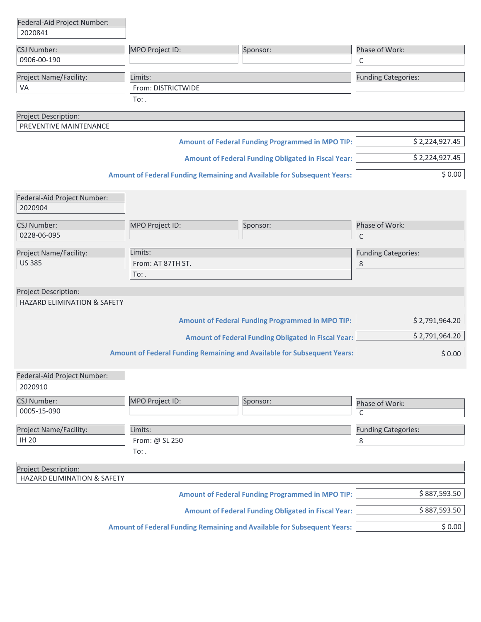| Federal-Aid Project Number:<br>2020841 |                    |                                                                                |                            |
|----------------------------------------|--------------------|--------------------------------------------------------------------------------|----------------------------|
| CSJ Number:                            | MPO Project ID:    | Sponsor:                                                                       | Phase of Work:             |
| 0906-00-190                            |                    |                                                                                | C                          |
| Project Name/Facility:                 | Limits:            |                                                                                | <b>Funding Categories:</b> |
| VA                                     | From: DISTRICTWIDE |                                                                                |                            |
|                                        | To:.               |                                                                                |                            |
| Project Description:                   |                    |                                                                                |                            |
| PREVENTIVE MAINTENANCE                 |                    |                                                                                |                            |
|                                        |                    | <b>Amount of Federal Funding Programmed in MPO TIP:</b>                        | \$2,224,927.45             |
|                                        |                    | <b>Amount of Federal Funding Obligated in Fiscal Year:</b>                     | \$2,224,927.45             |
|                                        |                    | Amount of Federal Funding Remaining and Available for Subsequent Years:        | \$0.00                     |
| Federal-Aid Project Number:            |                    |                                                                                |                            |
| 2020904                                |                    |                                                                                |                            |
| <b>CSJ Number:</b>                     | MPO Project ID:    | Sponsor:                                                                       | Phase of Work:             |
| 0228-06-095                            |                    |                                                                                | C                          |
| Project Name/Facility:                 | Limits:            |                                                                                | <b>Funding Categories:</b> |
| <b>US 385</b>                          | From: AT 87TH ST.  |                                                                                | 8                          |
|                                        | $To:$ .            |                                                                                |                            |
| Project Description:                   |                    |                                                                                |                            |
| <b>HAZARD ELIMINATION &amp; SAFETY</b> |                    |                                                                                |                            |
|                                        |                    | <b>Amount of Federal Funding Programmed in MPO TIP:</b>                        | \$2,791,964.20             |
|                                        |                    | <b>Amount of Federal Funding Obligated in Fiscal Year:</b>                     | \$2,791,964.20             |
|                                        |                    | <b>Amount of Federal Funding Remaining and Available for Subsequent Years:</b> | \$0.00                     |
| Federal-Aid Project Number:<br>2020910 |                    |                                                                                |                            |
| <b>CSJ Number:</b>                     | MPO Project ID:    | Sponsor:                                                                       | Phase of Work:             |
| 0005-15-090                            |                    |                                                                                | C                          |
| Project Name/Facility:                 | Limits:            |                                                                                | <b>Funding Categories:</b> |
| <b>IH 20</b>                           | From: @ SL 250     |                                                                                | 8                          |
|                                        | To:.               |                                                                                |                            |
| Project Description:                   |                    |                                                                                |                            |
| HAZARD ELIMINATION & SAFETY            |                    |                                                                                |                            |
|                                        |                    | <b>Amount of Federal Funding Programmed in MPO TIP:</b>                        | \$887,593.50               |
|                                        |                    | <b>Amount of Federal Funding Obligated in Fiscal Year:</b>                     | \$887,593.50               |

**Amount of Federal Funding Remaining and Available for Subsequent Years:** \$ 0.00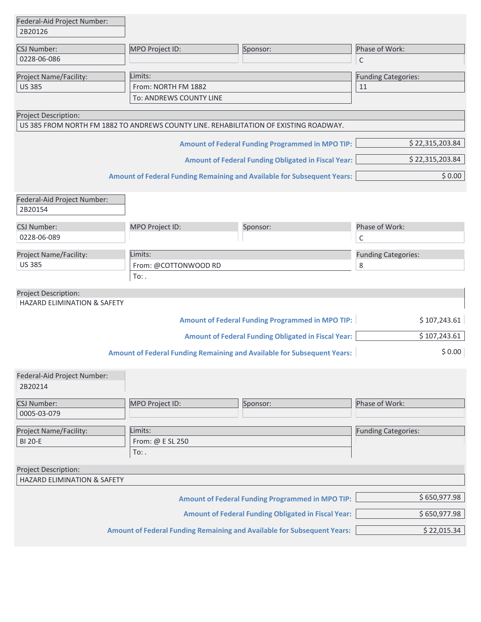| Federal-Aid Project Number:            |                                                                                       |                                                                                |                            |
|----------------------------------------|---------------------------------------------------------------------------------------|--------------------------------------------------------------------------------|----------------------------|
| 2B20126                                |                                                                                       |                                                                                |                            |
| <b>CSJ Number:</b>                     | MPO Project ID:                                                                       | Sponsor:                                                                       | Phase of Work:             |
| 0228-06-086                            |                                                                                       |                                                                                | C                          |
| Project Name/Facility:                 | Limits:                                                                               |                                                                                | <b>Funding Categories:</b> |
| <b>US 385</b>                          | From: NORTH FM 1882                                                                   |                                                                                | 11                         |
|                                        | To: ANDREWS COUNTY LINE                                                               |                                                                                |                            |
| Project Description:                   |                                                                                       |                                                                                |                            |
|                                        | US 385 FROM NORTH FM 1882 TO ANDREWS COUNTY LINE. REHABILITATION OF EXISTING ROADWAY. |                                                                                |                            |
|                                        |                                                                                       | <b>Amount of Federal Funding Programmed in MPO TIP:</b>                        | \$22,315,203.84            |
|                                        |                                                                                       | <b>Amount of Federal Funding Obligated in Fiscal Year:</b>                     | \$22,315,203.84            |
|                                        |                                                                                       | <b>Amount of Federal Funding Remaining and Available for Subsequent Years:</b> | \$0.00                     |
| Federal-Aid Project Number:<br>2B20154 |                                                                                       |                                                                                |                            |
| <b>CSJ Number:</b>                     | MPO Project ID:                                                                       | Sponsor:                                                                       | Phase of Work:             |
| 0228-06-089                            |                                                                                       |                                                                                | C                          |
| Project Name/Facility:                 | Limits:                                                                               |                                                                                | <b>Funding Categories:</b> |
| <b>US 385</b>                          | From: @COTTONWOOD RD                                                                  |                                                                                | 8                          |
|                                        | To:                                                                                   |                                                                                |                            |
| Project Description:                   |                                                                                       |                                                                                |                            |
| HAZARD ELIMINATION & SAFETY            |                                                                                       |                                                                                |                            |
|                                        |                                                                                       | <b>Amount of Federal Funding Programmed in MPO TIP:</b>                        | \$107,243.61               |
|                                        |                                                                                       | <b>Amount of Federal Funding Obligated in Fiscal Year:</b>                     | \$107,243.61               |
|                                        |                                                                                       | <b>Amount of Federal Funding Remaining and Available for Subsequent Years:</b> | \$0.00                     |
|                                        |                                                                                       |                                                                                |                            |
| Federal-Aid Project Number:<br>2B20214 |                                                                                       |                                                                                |                            |
| CSJ Number:                            | MPO Project ID:                                                                       | Sponsor:                                                                       | Phase of Work:             |
| 0005-03-079                            |                                                                                       |                                                                                |                            |
| Project Name/Facility:                 | Limits:                                                                               |                                                                                | <b>Funding Categories:</b> |
| <b>BI 20-E</b>                         | From: @ E SL 250                                                                      |                                                                                |                            |
|                                        | $To:$ .                                                                               |                                                                                |                            |
| Project Description:                   |                                                                                       |                                                                                |                            |
| HAZARD ELIMINATION & SAFETY            |                                                                                       |                                                                                |                            |
|                                        |                                                                                       | <b>Amount of Federal Funding Programmed in MPO TIP:</b>                        | \$650,977.98               |
|                                        |                                                                                       | <b>Amount of Federal Funding Obligated in Fiscal Year:</b>                     | \$650,977.98               |
|                                        |                                                                                       | <b>Amount of Federal Funding Remaining and Available for Subsequent Years:</b> | \$22,015.34                |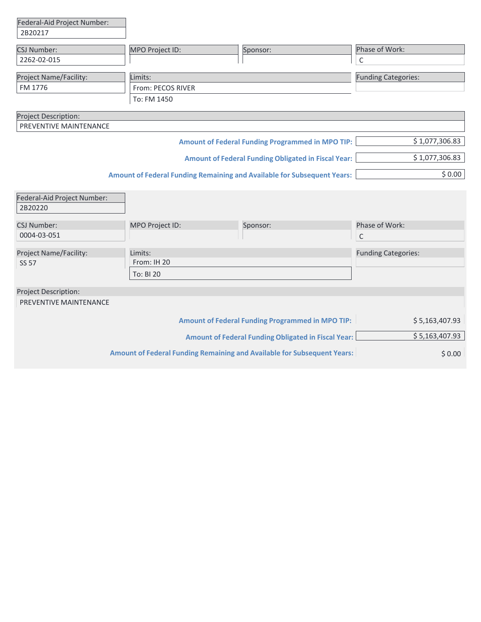| Federal-Aid Project Number: |                   |                                                                                |                            |
|-----------------------------|-------------------|--------------------------------------------------------------------------------|----------------------------|
| 2B20217                     |                   |                                                                                |                            |
| <b>CSJ Number:</b>          | MPO Project ID:   | Sponsor:                                                                       | Phase of Work:             |
| 2262-02-015                 |                   |                                                                                | С                          |
| Project Name/Facility:      | Limits:           |                                                                                | <b>Funding Categories:</b> |
| FM 1776                     | From: PECOS RIVER |                                                                                |                            |
|                             | To: FM 1450       |                                                                                |                            |
| Project Description:        |                   |                                                                                |                            |
| PREVENTIVE MAINTENANCE      |                   |                                                                                |                            |
|                             |                   | <b>Amount of Federal Funding Programmed in MPO TIP:</b>                        | \$1,077,306.83             |
|                             |                   | <b>Amount of Federal Funding Obligated in Fiscal Year:</b>                     | \$1,077,306.83             |
|                             |                   | <b>Amount of Federal Funding Remaining and Available for Subsequent Years:</b> | \$0.00                     |
|                             |                   |                                                                                |                            |
| Federal-Aid Project Number: |                   |                                                                                |                            |
| 2B20220                     |                   |                                                                                |                            |
| <b>CSJ Number:</b>          | MPO Project ID:   | Sponsor:                                                                       | Phase of Work:             |
| 0004-03-051                 |                   |                                                                                | $\mathsf{C}$               |
| Project Name/Facility:      | Limits:           |                                                                                | <b>Funding Categories:</b> |
| <b>SS 57</b>                | From: IH 20       |                                                                                |                            |
|                             | To: BI 20         |                                                                                |                            |
| Project Description:        |                   |                                                                                |                            |
| PREVENTIVE MAINTENANCE      |                   |                                                                                |                            |
|                             |                   | <b>Amount of Federal Funding Programmed in MPO TIP:</b>                        | \$5,163,407.93             |
|                             |                   | <b>Amount of Federal Funding Obligated in Fiscal Year:</b>                     | \$5,163,407.93             |
|                             |                   | <b>Amount of Federal Funding Remaining and Available for Subsequent Years:</b> | \$0.00                     |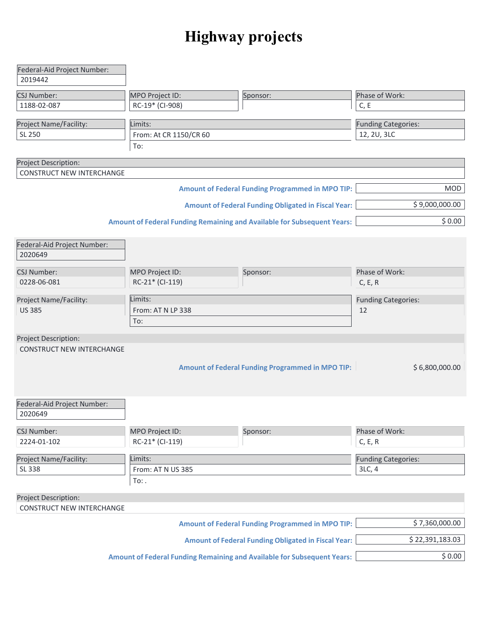## **Highway projects**

| Federal-Aid Project Number:      |                        |                                                                                |                                      |
|----------------------------------|------------------------|--------------------------------------------------------------------------------|--------------------------------------|
| 2019442                          |                        |                                                                                |                                      |
| <b>CSJ Number:</b>               | MPO Project ID:        | Sponsor:                                                                       | Phase of Work:                       |
| 1188-02-087                      | RC-19* (CI-908)        |                                                                                | C, E                                 |
|                                  |                        |                                                                                |                                      |
| Project Name/Facility:           | Limits:                |                                                                                | <b>Funding Categories:</b>           |
| SL 250                           | From: At CR 1150/CR 60 |                                                                                | 12, 2U, 3LC                          |
|                                  | To:                    |                                                                                |                                      |
| Project Description:             |                        |                                                                                |                                      |
| <b>CONSTRUCT NEW INTERCHANGE</b> |                        |                                                                                |                                      |
|                                  |                        |                                                                                |                                      |
|                                  |                        | <b>Amount of Federal Funding Programmed in MPO TIP:</b>                        | MOD                                  |
|                                  |                        | <b>Amount of Federal Funding Obligated in Fiscal Year:</b>                     | \$9,000,000.00                       |
|                                  |                        | <b>Amount of Federal Funding Remaining and Available for Subsequent Years:</b> | \$0.00                               |
| Federal-Aid Project Number:      |                        |                                                                                |                                      |
| 2020649                          |                        |                                                                                |                                      |
|                                  |                        |                                                                                |                                      |
| <b>CSJ Number:</b>               | MPO Project ID:        | Sponsor:                                                                       | Phase of Work:                       |
| 0228-06-081                      | RC-21* (CI-119)        |                                                                                | C, E, R                              |
| Project Name/Facility:           | Limits:                |                                                                                | <b>Funding Categories:</b>           |
| <b>US 385</b>                    | From: AT N LP 338      |                                                                                | 12                                   |
|                                  | To:                    |                                                                                |                                      |
|                                  |                        |                                                                                |                                      |
| Project Description:             |                        |                                                                                |                                      |
| <b>CONSTRUCT NEW INTERCHANGE</b> |                        |                                                                                |                                      |
|                                  |                        |                                                                                |                                      |
|                                  |                        | <b>Amount of Federal Funding Programmed in MPO TIP:</b>                        | \$6,800,000.00                       |
|                                  |                        |                                                                                |                                      |
|                                  |                        |                                                                                |                                      |
| Federal-Aid Project Number:      |                        |                                                                                |                                      |
| 2020649                          |                        |                                                                                |                                      |
| <b>CSJ Number:</b>               | MPO Project ID:        | Sponsor:                                                                       | Phase of Work:                       |
| 2224-01-102                      | RC-21* (CI-119)        |                                                                                | C, E, R                              |
|                                  |                        |                                                                                |                                      |
| Project Name/Facility:<br>SL 338 | Limits:                |                                                                                | <b>Funding Categories:</b><br>3LC, 4 |
|                                  | From: AT N US 385      |                                                                                |                                      |
|                                  | $To:$ .                |                                                                                |                                      |
| Project Description:             |                        |                                                                                |                                      |
| <b>CONSTRUCT NEW INTERCHANGE</b> |                        |                                                                                |                                      |
|                                  |                        | <b>Amount of Federal Funding Programmed in MPO TIP:</b>                        | \$7,360,000.00                       |
|                                  |                        | <b>Amount of Federal Funding Obligated in Fiscal Year:</b>                     | \$22,391,183.03                      |
|                                  |                        | <b>Amount of Federal Funding Remaining and Available for Subsequent Years:</b> | \$0.00                               |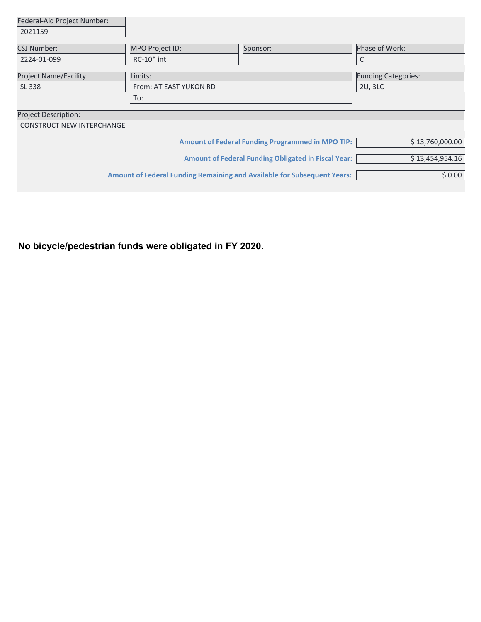| Federal-Aid Project Number:      |                        |                                                                                |                            |
|----------------------------------|------------------------|--------------------------------------------------------------------------------|----------------------------|
| 2021159                          |                        |                                                                                |                            |
| <b>CSJ Number:</b>               | MPO Project ID:        | Sponsor:                                                                       | Phase of Work:             |
| 2224-01-099                      | $RC-10*int$            |                                                                                | C                          |
| <b>Project Name/Facility:</b>    | Limits:                |                                                                                | <b>Funding Categories:</b> |
| SL 338                           | From: AT EAST YUKON RD |                                                                                |                            |
|                                  | To:                    |                                                                                |                            |
| <b>Project Description:</b>      |                        |                                                                                |                            |
| <b>CONSTRUCT NEW INTERCHANGE</b> |                        |                                                                                |                            |
|                                  |                        | <b>Amount of Federal Funding Programmed in MPO TIP:</b>                        | \$13,760,000.00            |
|                                  |                        | <b>Amount of Federal Funding Obligated in Fiscal Year:</b>                     | \$13,454,954.16            |
|                                  |                        | <b>Amount of Federal Funding Remaining and Available for Subsequent Years:</b> | \$0.00                     |

**No bicycle/pedestrian funds were obligated in FY 2020.**